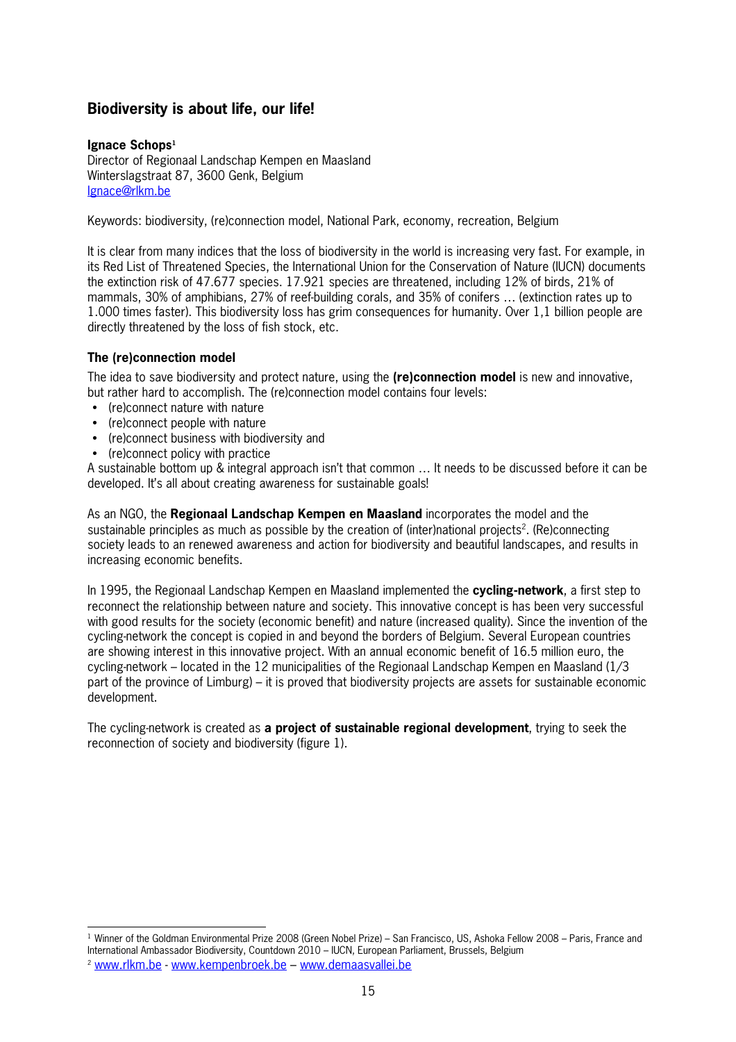## **Biodiversity is about life, our life!**

## **Ignace Schops<sup>1</sup>**

Director of Regionaal Landschap Kempen en Maasland Winterslagstraat 87, 3600 Genk, Belgium Ignace@rlkm.be

Keywords: biodiversity, (re)connection model, National Park, economy, recreation, Belgium

It is clear from many indices that the loss of biodiversity in the world is increasing very fast. For example, in its Red List of Threatened Species, the International Union for the Conservation of Nature (IUCN) documents the extinction risk of 47.677 species. 17.921 species are threatened, including 12% of birds, 21% of mammals, 30% of amphibians, 27% of reefbuilding corals, and 35% of conifers … (extinction rates up to 1.000 times faster). This biodiversity loss has grim consequences for humanity. Over 1,1 billion people are directly threatened by the loss of fish stock, etc.

## **The (re)connection model**

The idea to save biodiversity and protect nature, using the **(re)connection model** is new and innovative, but rather hard to accomplish. The (re)connection model contains four levels:

- (re)connect nature with nature
- (re)connect people with nature
- (re)connect business with biodiversity and
- (re)connect policy with practice

A sustainable bottom up & integral approach isn't that common … It needs to be discussed before it can be developed. It's all about creating awareness for sustainable goals!

As an NGO, the **Regionaal Landschap Kempen en Maasland** incorporates the model and the sustainable principles as much as possible by the creation of (inter)national projects<sup>2</sup>. (Re)connecting society leads to an renewed awareness and action for biodiversity and beautiful landscapes, and results in increasing economic benefits.

In 1995, the Regionaal Landschap Kempen en Maasland implemented the **cycling<network**, a first step to reconnect the relationship between nature and society. This innovative concept is has been very successful with good results for the society (economic benefit) and nature (increased quality). Since the invention of the cycling-network the concept is copied in and beyond the borders of Belgium. Several European countries are showing interest in this innovative project. With an annual economic benefit of 16.5 million euro, the cycling-network – located in the 12 municipalities of the Regionaal Landschap Kempen en Maasland (1/3) part of the province of Limburg) – it is proved that biodiversity projects are assets for sustainable economic development.

The cycling-network is created as **a project of sustainable regional development**, trying to seek the reconnection of society and biodiversity (figure 1).

 $\overline{a}$ 

 $1$  Winner of the Goldman Environmental Prize 2008 (Green Nobel Prize) – San Francisco, US, Ashoka Fellow 2008 – Paris, France and International Ambassador Biodiversity, Countdown 2010 – IUCN, European Parliament, Brussels, Belgium

<sup>&</sup>lt;sup>2</sup> www.rlkm.be - www.kempenbroek.be – www.demaasvallei.be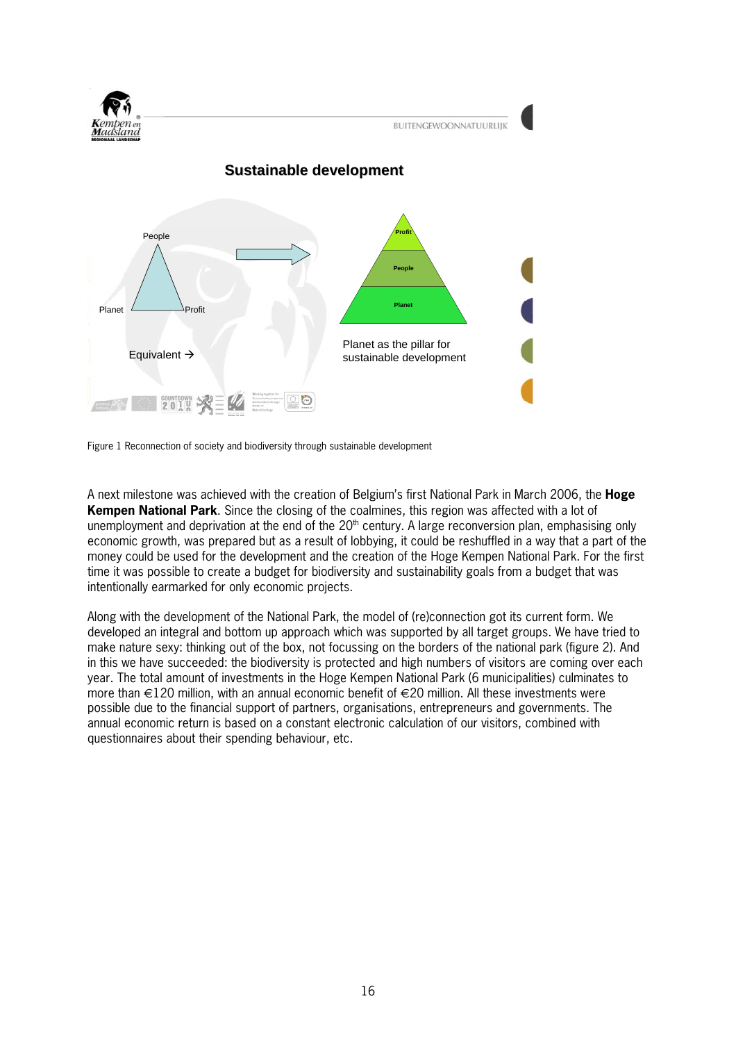

Figure 1 Reconnection of society and biodiversity through sustainable development

A next milestone was achieved with the creation of Belgium's first National Park in March 2006, the **Hoge Kempen National Park**. Since the closing of the coalmines, this region was affected with a lot of unemployment and deprivation at the end of the  $20<sup>th</sup>$  century. A large reconversion plan, emphasising only economic growth, was prepared but as a result of lobbying, it could be reshuffled in a way that a part of the money could be used for the development and the creation of the Hoge Kempen National Park. For the first time it was possible to create a budget for biodiversity and sustainability goals from a budget that was intentionally earmarked for only economic projects.

Along with the development of the National Park, the model of (re)connection got its current form. We developed an integral and bottom up approach which was supported by all target groups. We have tried to make nature sexy: thinking out of the box, not focussing on the borders of the national park (figure 2). And in this we have succeeded: the biodiversity is protected and high numbers of visitors are coming over each year. The total amount of investments in the Hoge Kempen National Park (6 municipalities) culminates to more than  $\in$ 120 million, with an annual economic benefit of  $\in$ 20 million. All these investments were possible due to the financial support of partners, organisations, entrepreneurs and governments. The annual economic return is based on a constant electronic calculation of our visitors, combined with questionnaires about their spending behaviour, etc.